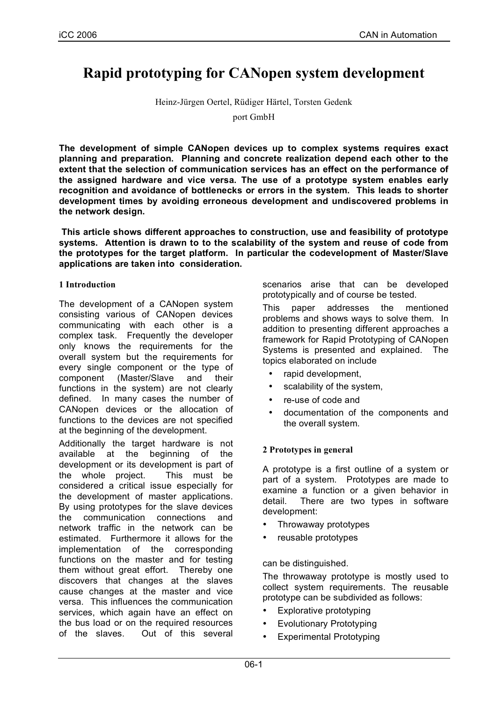# **Rapid prototyping for CANopen system development**

Heinz-Jürgen Oertel, Rüdiger Härtel, Torsten Gedenk

port GmbH

**The development of simple CANopen devices up to complex systems requires exact planning and preparation. Planning and concrete realization depend each other to the extent that the selection of communication services has an effect on the performance of the assigned hardware and vice versa. The use of a prototype system enables early recognition and avoidance of bottlenecks or errors in the system. This leads to shorter development times by avoiding erroneous development and undiscovered problems in the network design.**

**This article shows different approaches to construction, use and feasibility of prototype systems. Attention is drawn to to the scalability of the system and reuse of code from the prototypes for the target platform. In particular the codevelopment of Master/Slave applications are taken into consideration.**

#### **1 Introduction**

The development of a CANopen system consisting various of CANopen devices communicating with each other is a complex task. Frequently the developer only knows the requirements for the overall system but the requirements for every single component or the type of component (Master/Slave and their functions in the system) are not clearly defined. In many cases the number of CANopen devices or the allocation of functions to the devices are not specified at the beginning of the development.

Additionally the target hardware is not available at the beginning of the development or its development is part of the whole project. This must be considered a critical issue especially for the development of master applications. By using prototypes for the slave devices the communication connections and network traffic in the network can be estimated. Furthermore it allows for the implementation of the corresponding functions on the master and for testing them without great effort. Thereby one discovers that changes at the slaves cause changes at the master and vice versa. This influences the communication services, which again have an effect on the bus load or on the required resources of the slaves. Out of this several scenarios arise that can be developed prototypically and of course be tested.

This paper addresses the mentioned problems and shows ways to solve them. In addition to presenting different approaches a framework for Rapid Prototyping of CANopen Systems is presented and explained. The topics elaborated on include

- rapid development,
- scalability of the system,
- re-use of code and
- documentation of the components and the overall system.

#### **2 Prototypes in general**

A prototype is a first outline of a system or part of a system. Prototypes are made to examine a function or a given behavior in detail. There are two types in software development:

- Throwaway prototypes
- reusable prototypes

can be distinguished.

The throwaway prototype is mostly used to collect system requirements. The reusable prototype can be subdivided as follows:

- Explorative prototyping
- Evolutionary Prototyping
- Experimental Prototyping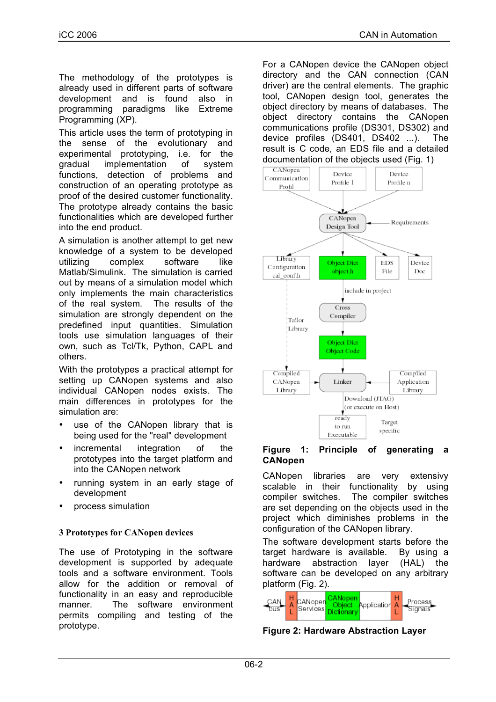The methodology of the prototypes is already used in different parts of software development and is found also in programming paradigms like Extreme Programming (XP).

This article uses the term of prototyping in the sense of the evolutionary and experimental prototyping, i.e. for the gradual implementation of system functions, detection of problems and construction of an operating prototype as proof of the desired customer functionality. The prototype already contains the basic functionalities which are developed further into the end product.

A simulation is another attempt to get new knowledge of a system to be developed utilizing complex software like Matlab/Simulink. The simulation is carried out by means of a simulation model which only implements the main characteristics of the real system. The results of the simulation are strongly dependent on the predefined input quantities. Simulation tools use simulation languages of their own, such as Tcl/Tk, Python, CAPL and others.

With the prototypes a practical attempt for setting up CANopen systems and also individual CANopen nodes exists. The main differences in prototypes for the simulation are:

- use of the CANopen library that is being used for the "real" development
- incremental integration of the prototypes into the target platform and into the CANopen network
- running system in an early stage of development
- process simulation

## **3 Prototypes for CANopen devices**

The use of Prototyping in the software development is supported by adequate tools and a software environment. Tools allow for the addition or removal of functionality in an easy and reproducible manner. The software environment permits compiling and testing of the prototype.

For a CANopen device the CANopen object directory and the CAN connection (CAN driver) are the central elements. The graphic tool, CANopen design tool, generates the object directory by means of databases. The object directory contains the CANopen communications profile (DS301, DS302) and device profiles (DS401, DS402 ...). The result is C code, an EDS file and a detailed documentation of the objects used (Fig. 1)



#### **Figure 1: Principle of generating a CANopen**

CANopen libraries are very extensivy scalable in their functionality by using compiler switches. The compiler switches are set depending on the objects used in the project which diminishes problems in the configuration of the CANopen library.

The software development starts before the target hardware is available. By using a hardware abstraction layer (HAL) the software can be developed on any arbitrary platform (Fig. 2).



**Figure 2: Hardware Abstraction Layer**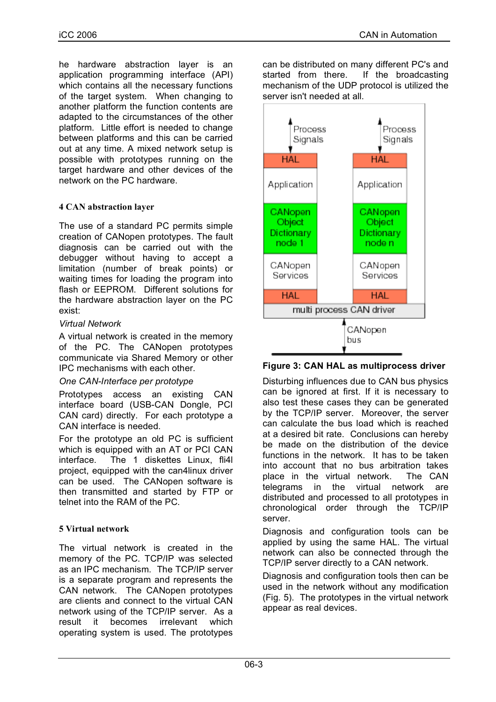he hardware abstraction layer is an application programming interface (API) which contains all the necessary functions of the target system. When changing to another platform the function contents are adapted to the circumstances of the other platform. Little effort is needed to change between platforms and this can be carried out at any time. A mixed network setup is possible with prototypes running on the target hardware and other devices of the network on the PC hardware.

# **4 CAN abstraction layer**

The use of a standard PC permits simple creation of CANopen prototypes. The fault diagnosis can be carried out with the debugger without having to accept a limitation (number of break points) or waiting times for loading the program into flash or EEPROM. Different solutions for the hardware abstraction layer on the PC exist:

## *Virtual Network*

A virtual network is created in the memory of the PC. The CANopen prototypes communicate via Shared Memory or other IPC mechanisms with each other.

## *One CAN-Interface per prototype*

Prototypes access an existing CAN interface board (USB-CAN Dongle, PCI CAN card) directly. For each prototype a CAN interface is needed.

For the prototype an old PC is sufficient which is equipped with an AT or PCI CAN interface. The 1 diskettes Linux, fli4l project, equipped with the can4linux driver can be used. The CANopen software is then transmitted and started by FTP or telnet into the RAM of the PC.

## **5 Virtual network**

The virtual network is created in the memory of the PC. TCP/IP was selected as an IPC mechanism. The TCP/IP server is a separate program and represents the CAN network. The CANopen prototypes are clients and connect to the virtual CAN network using of the TCP/IP server. As a result it becomes irrelevant which operating system is used. The prototypes can be distributed on many different PC's and started from there. If the broadcasting mechanism of the UDP protocol is utilized the server isn't needed at all.



**Figure 3: CAN HAL as multiprocess driver**

Disturbing influences due to CAN bus physics can be ignored at first. If it is necessary to also test these cases they can be generated by the TCP/IP server. Moreover, the server can calculate the bus load which is reached at a desired bit rate. Conclusions can hereby be made on the distribution of the device functions in the network. It has to be taken into account that no bus arbitration takes place in the virtual network. The CAN telegrams in the virtual network are distributed and processed to all prototypes in chronological order through the TCP/IP server.

Diagnosis and configuration tools can be applied by using the same HAL. The virtual network can also be connected through the TCP/IP server directly to a CAN network.

Diagnosis and configuration tools then can be used in the network without any modification (Fig. 5). The prototypes in the virtual network appear as real devices.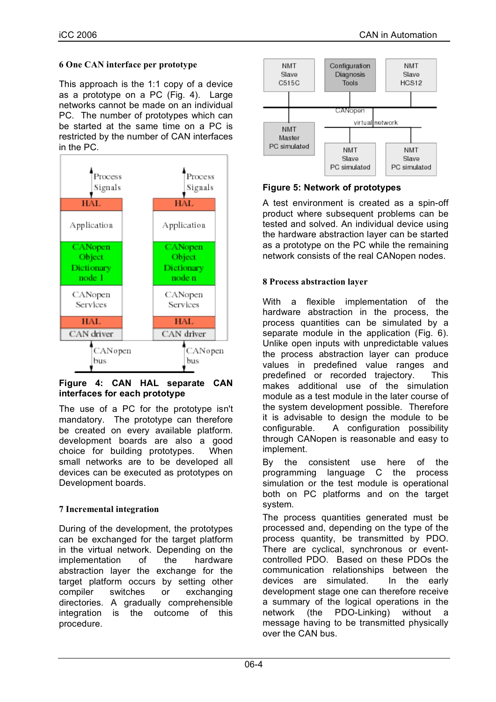## **6 One CAN interface per prototype**

This approach is the 1:1 copy of a device as a prototype on a PC (Fig. 4). Large networks cannot be made on an individual PC. The number of prototypes which can be started at the same time on a PC is restricted by the number of CAN interfaces in the PC.



#### **Figure 4: CAN HAL separate CAN interfaces for each prototype**

The use of a PC for the prototype isn't mandatory. The prototype can therefore be created on every available platform. development boards are also a good choice for building prototypes. When small networks are to be developed all devices can be executed as prototypes on Development boards.

## **7 Incremental integration**

During of the development, the prototypes can be exchanged for the target platform in the virtual network. Depending on the implementation of the hardware abstraction layer the exchange for the target platform occurs by setting other compiler switches or exchanging directories. A gradually comprehensible integration is the outcome of this procedure.



# **Figure 5: Network of prototypes**

A test environment is created as a spin-off product where subsequent problems can be tested and solved. An individual device using the hardware abstraction layer can be started as a prototype on the PC while the remaining network consists of the real CANopen nodes.

# **8 Process abstraction layer**

With a flexible implementation of the hardware abstraction in the process, the process quantities can be simulated by a separate module in the application (Fig. 6). Unlike open inputs with unpredictable values the process abstraction layer can produce values in predefined value ranges and predefined or recorded trajectory. This makes additional use of the simulation module as a test module in the later course of the system development possible. Therefore it is advisable to design the module to be configurable. A configuration possibility through CANopen is reasonable and easy to implement.

By the consistent use here of the programming language C the process simulation or the test module is operational both on PC platforms and on the target system.

The process quantities generated must be processed and, depending on the type of the process quantity, be transmitted by PDO. There are cyclical, synchronous or eventcontrolled PDO. Based on these PDOs the communication relationships between the devices are simulated. In the early development stage one can therefore receive a summary of the logical operations in the network (the PDO-Linking) without a message having to be transmitted physically over the CAN bus.